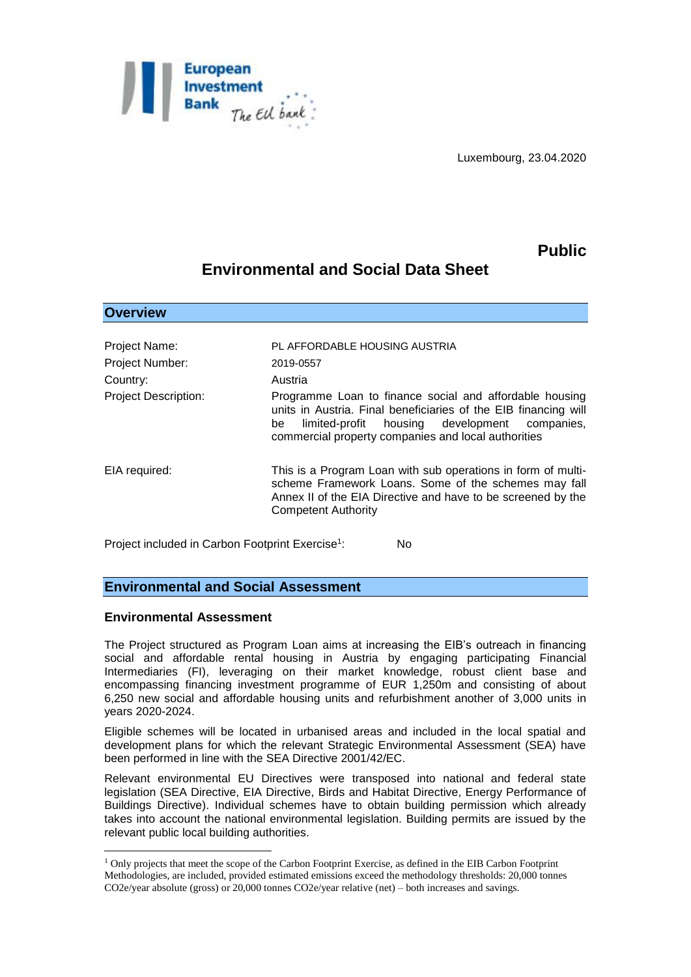

Luxembourg, 23.04.2020

## **Public**

# **Environmental and Social Data Sheet**

| Overview                    |                                                                                                                                                                                                                                             |
|-----------------------------|---------------------------------------------------------------------------------------------------------------------------------------------------------------------------------------------------------------------------------------------|
|                             |                                                                                                                                                                                                                                             |
| Project Name:               | PL AFFORDABLE HOUSING AUSTRIA                                                                                                                                                                                                               |
| <b>Project Number:</b>      | 2019-0557                                                                                                                                                                                                                                   |
| Country:                    | Austria                                                                                                                                                                                                                                     |
| <b>Project Description:</b> | Programme Loan to finance social and affordable housing<br>units in Austria. Final beneficiaries of the EIB financing will<br>limited-profit housing development<br>companies,<br>be<br>commercial property companies and local authorities |
| EIA required:               | This is a Program Loan with sub operations in form of multi-<br>scheme Framework Loans. Some of the schemes may fall<br>Annex II of the EIA Directive and have to be screened by the<br><b>Competent Authority</b>                          |

Project included in Carbon Footprint Exercise<sup>1</sup>: N<sub>0</sub>

## **Environmental and Social Assessment**

#### **Environmental Assessment**

1

**Overview** 

The Project structured as Program Loan aims at increasing the EIB's outreach in financing social and affordable rental housing in Austria by engaging participating Financial Intermediaries (FI), leveraging on their market knowledge, robust client base and encompassing financing investment programme of EUR 1,250m and consisting of about 6,250 new social and affordable housing units and refurbishment another of 3,000 units in years 2020-2024.

Eligible schemes will be located in urbanised areas and included in the local spatial and development plans for which the relevant Strategic Environmental Assessment (SEA) have been performed in line with the SEA Directive 2001/42/EC.

Relevant environmental EU Directives were transposed into national and federal state legislation (SEA Directive, EIA Directive, Birds and Habitat Directive, Energy Performance of Buildings Directive). Individual schemes have to obtain building permission which already takes into account the national environmental legislation. Building permits are issued by the relevant public local building authorities.

<sup>1</sup> Only projects that meet the scope of the Carbon Footprint Exercise, as defined in the EIB Carbon Footprint Methodologies, are included, provided estimated emissions exceed the methodology thresholds: 20,000 tonnes CO2e/year absolute (gross) or 20,000 tonnes CO2e/year relative (net) – both increases and savings.